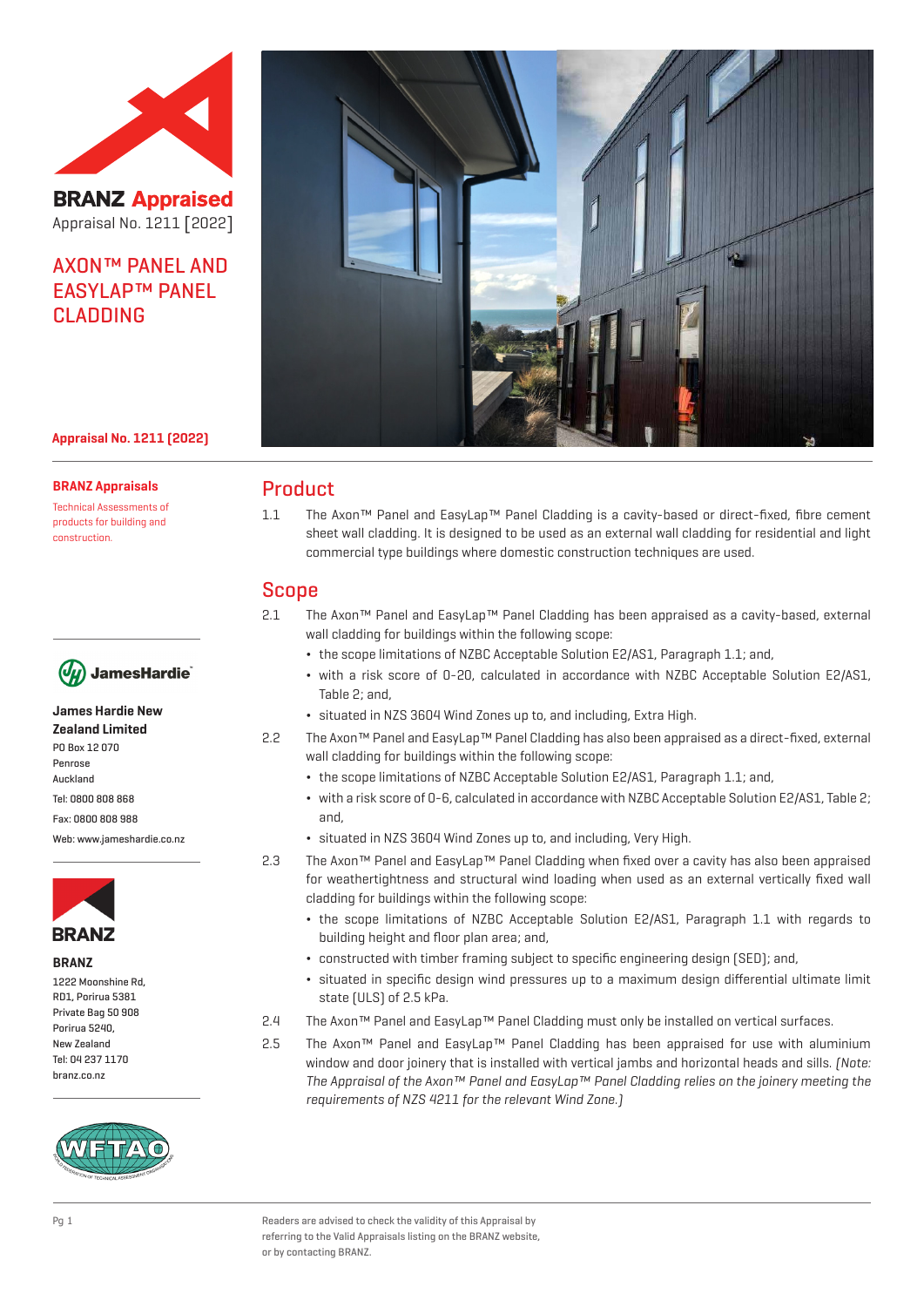

**BRANZ Appraised** Appraisal No. 1211 [2022]

# AXON™ PANEL AND EASYLAP™ PANEL CLADDING



### **Appraisal No. 1211 (2022)**

**BRANZ Appraisals**

Technical Assessments of products for building and construction.



## **James Hardie New**

**Zealand Limited** PO Box 12 070 Penrose Auckland Tel: 0800 808 868 Fax: 0800 808 988 Web: www.jameshardie.co.nz



**BRANZ**

| 1222 Moonshine Rd. |  |
|--------------------|--|
| RD1, Porirua 5381  |  |
| Private Bag 50 908 |  |
| Porirua 5240.      |  |
| New Zealand        |  |
| Tel: 04 237 1170   |  |
| branz.co.nz        |  |



## Product

1.1 The Axon™ Panel and EasyLap™ Panel Cladding is a cavity-based or direct-fixed, fibre cement sheet wall cladding. It is designed to be used as an external wall cladding for residential and light commercial type buildings where domestic construction techniques are used.

## Scope

- 2.1 The Axon™ Panel and EasyLap™ Panel Cladding has been appraised as a cavity-based, external wall cladding for buildings within the following scope:
	- ¬ the scope limitations of NZBC Acceptable Solution E2/AS1, Paragraph 1.1; and,
	- ¬ with a risk score of 0-20, calculated in accordance with NZBC Acceptable Solution E2/AS1, Table 2; and,
	- ¬ situated in NZS 3604 Wind Zones up to, and including, Extra High.
- 2.2 The Axon™ Panel and EasyLap™ Panel Cladding has also been appraised as a direct-fixed, external wall cladding for buildings within the following scope:
	- ¬ the scope limitations of NZBC Acceptable Solution E2/AS1, Paragraph 1.1; and,
	- ¬ with a risk score of 0-6, calculated in accordance with NZBC Acceptable Solution E2/AS1, Table 2; and,
	- ¬ situated in NZS 3604 Wind Zones up to, and including, Very High.
- 2.3 The Axon™ Panel and EasyLap™ Panel Cladding when fixed over a cavity has also been appraised for weathertightness and structural wind loading when used as an external vertically fixed wall cladding for buildings within the following scope:
	- ¬ the scope limitations of NZBC Acceptable Solution E2/AS1, Paragraph 1.1 with regards to building height and floor plan area; and,
	- ¬ constructed with timber framing subject to specific engineering design (SED); and,
	- ¬ situated in specific design wind pressures up to a maximum design differential ultimate limit state (ULS) of 2.5 kPa.
- 2.4 The Axon™ Panel and EasyLap™ Panel Cladding must only be installed on vertical surfaces.
- 2.5 The Axon™ Panel and EasyLap™ Panel Cladding has been appraised for use with aluminium window and door joinery that is installed with vertical jambs and horizontal heads and sills. [Note: The Appraisal of the Axon™ Panel and EasyLap™ Panel Cladding relies on the joinery meeting the requirements of NZS 4211 for the relevant Wind Zone.)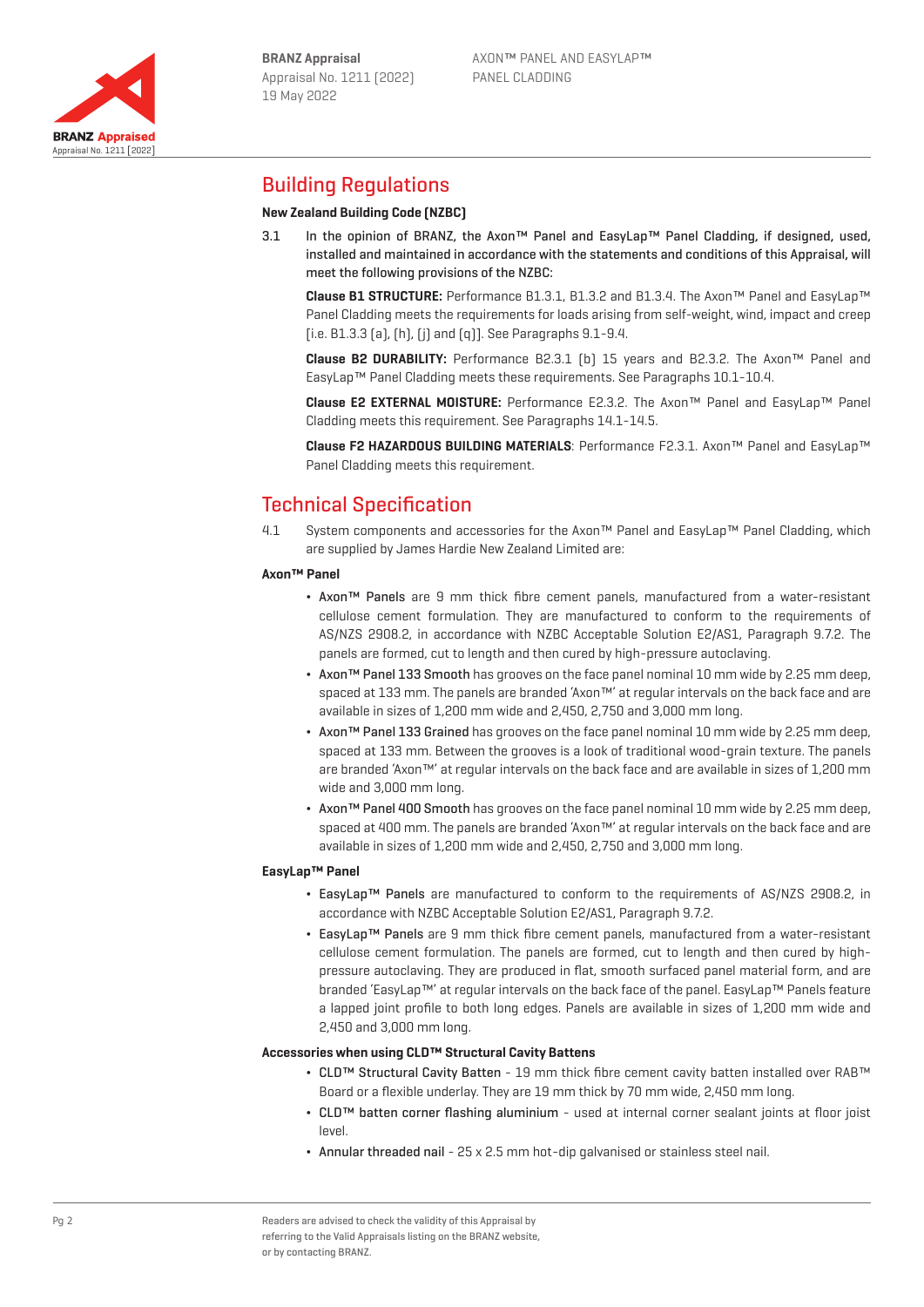

# Building Regulations

## **New Zealand Building Code (NZBC)**

3.1 In the opinion of BRANZ, the Axon™ Panel and EasyLap™ Panel Cladding, if designed, used, installed and maintained in accordance with the statements and conditions of this Appraisal, will meet the following provisions of the NZBC:

**Clause B1 STRUCTURE:** Performance B1.3.1, B1.3.2 and B1.3.4. The Axon™ Panel and EasyLap™ Panel Cladding meets the requirements for loads arising from self-weight, wind, impact and creep [i.e. B1.3.3 (a), (h), (j) and (q)]. See Paragraphs 9.1-9.4.

**Clause B2 DURABILITY:** Performance B2.3.1 (b) 15 years and B2.3.2. The Axon™ Panel and EasyLap™ Panel Cladding meets these requirements. See Paragraphs 10.1-10.4.

**Clause E2 EXTERNAL MOISTURE:** Performance E2.3.2. The Axon™ Panel and EasyLap™ Panel Cladding meets this requirement. See Paragraphs 14.1-14.5.

**Clause F2 HAZARDOUS BUILDING MATERIALS**: Performance F2.3.1. Axon™ Panel and EasyLap™ Panel Cladding meets this requirement.

# Technical Specification

4.1 System components and accessories for the Axon™ Panel and EasyLap™ Panel Cladding, which are supplied by James Hardie New Zealand Limited are:

#### **Axon™ Panel**

- ¬ Axon™ Panels are 9 mm thick fibre cement panels, manufactured from a water-resistant cellulose cement formulation. They are manufactured to conform to the requirements of AS/NZS 2908.2, in accordance with NZBC Acceptable Solution E2/AS1, Paragraph 9.7.2. The panels are formed, cut to length and then cured by high-pressure autoclaving.
- ¬ Axon™ Panel 133 Smooth has grooves on the face panel nominal 10 mm wide by 2.25 mm deep, spaced at 133 mm. The panels are branded 'Axon™' at regular intervals on the back face and are available in sizes of 1,200 mm wide and 2,450, 2,750 and 3,000 mm long.
- ¬ Axon™ Panel 133 Grained has grooves on the face panel nominal 10 mm wide by 2.25 mm deep, spaced at 133 mm. Between the grooves is a look of traditional wood-grain texture. The panels are branded 'Axon™' at regular intervals on the back face and are available in sizes of 1,200 mm wide and 3,000 mm long.
- ¬ Axon™ Panel 400 Smooth has grooves on the face panel nominal 10 mm wide by 2.25 mm deep, spaced at 400 mm. The panels are branded 'Axon™' at regular intervals on the back face and are available in sizes of 1,200 mm wide and 2,450, 2,750 and 3,000 mm long.

### **EasyLap™ Panel**

- ¬ EasyLap™ Panels are manufactured to conform to the requirements of AS/NZS 2908.2, in accordance with NZBC Acceptable Solution E2/AS1, Paragraph 9.7.2.
- ¬ EasyLap™ Panels are 9 mm thick fibre cement panels, manufactured from a water-resistant cellulose cement formulation. The panels are formed, cut to length and then cured by highpressure autoclaving. They are produced in flat, smooth surfaced panel material form, and are branded 'EasyLap™' at regular intervals on the back face of the panel. EasyLap™ Panels feature a lapped joint profile to both long edges. Panels are available in sizes of 1,200 mm wide and 2,450 and 3,000 mm long.

#### **Accessories when using CLD™ Structural Cavity Battens**

- ¬ CLD™ Structural Cavity Batten 19 mm thick fibre cement cavity batten installed over RAB™ Board or a flexible underlay. They are 19 mm thick by 70 mm wide, 2,450 mm long.
- ¬ CLD™ batten corner flashing aluminium used at internal corner sealant joints at floor joist level.
- ¬ Annular threaded nail 25 x 2.5 mm hot-dip galvanised or stainless steel nail.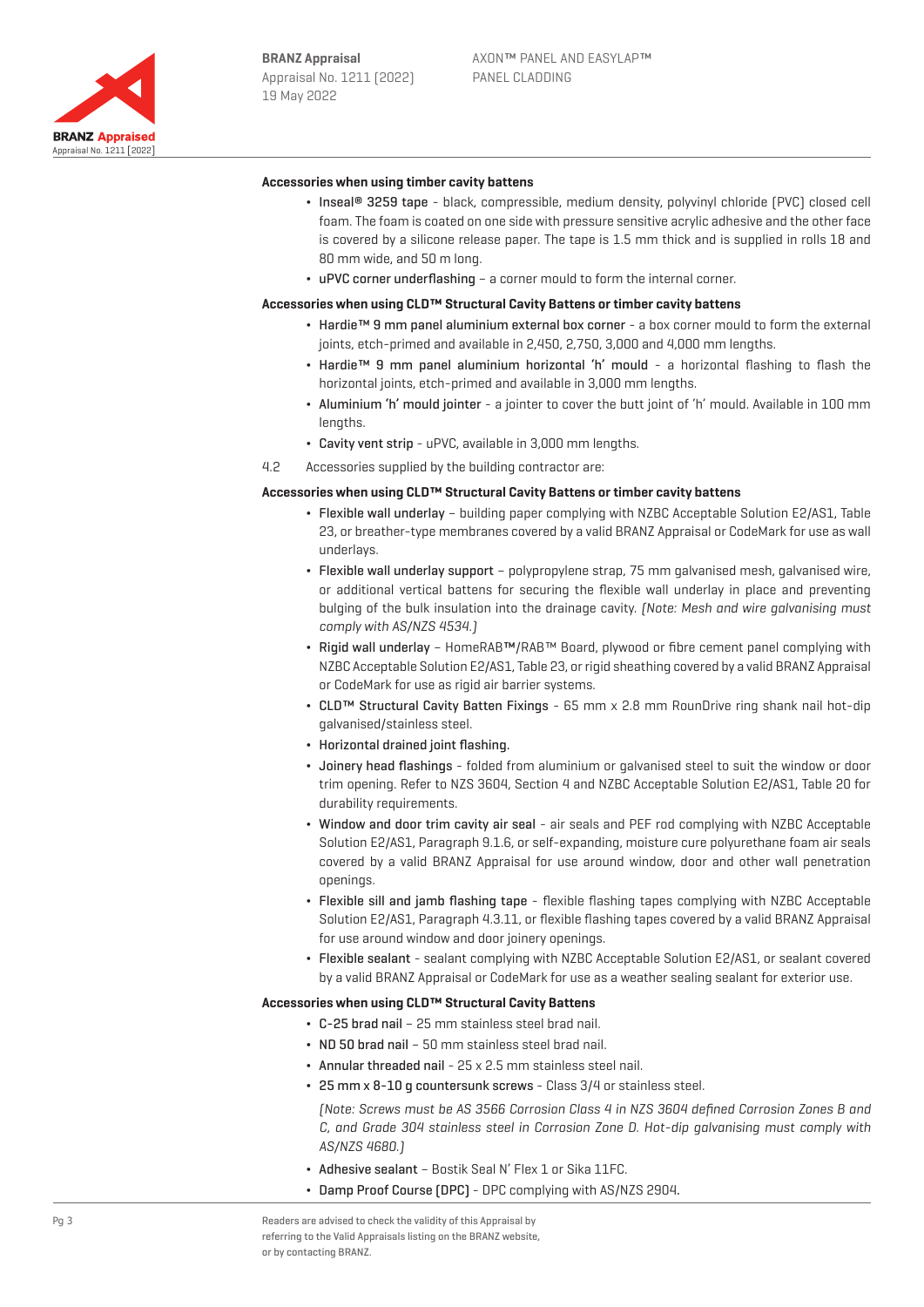

#### **Accessories when using timber cavity battens**

- Inseal® 3259 tape black, compressible, medium density, polyvinyl chloride (PVC) closed cell foam. The foam is coated on one side with pressure sensitive acrylic adhesive and the other face is covered by a silicone release paper. The tape is 1.5 mm thick and is supplied in rolls 18 and 80 mm wide, and 50 m long.
- ¬ uPVC corner underflashing a corner mould to form the internal corner.

#### **Accessories when using CLD™ Structural Cavity Battens or timber cavity battens**

- ¬ Hardie™ 9 mm panel aluminium external box corner a box corner mould to form the external joints, etch-primed and available in 2,450, 2,750, 3,000 and 4,000 mm lengths.
- ¬ Hardie™ 9 mm panel aluminium horizontal 'h' mould a horizontal flashing to flash the horizontal joints, etch-primed and available in 3,000 mm lengths.
- ¬ Aluminium 'h' mould jointer a jointer to cover the butt joint of 'h' mould. Available in 100 mm lengths.
- ¬ Cavity vent strip uPVC, available in 3,000 mm lengths.
- 4.2 Accessories supplied by the building contractor are:

#### **Accessories when using CLD™ Structural Cavity Battens or timber cavity battens**

- ¬ Flexible wall underlay building paper complying with NZBC Acceptable Solution E2/AS1, Table 23, or breather-type membranes covered by a valid BRANZ Appraisal or CodeMark for use as wall underlays.
- ¬ Flexible wall underlay support polypropylene strap, 75 mm galvanised mesh, galvanised wire, or additional vertical battens for securing the flexible wall underlay in place and preventing bulging of the bulk insulation into the drainage cavity. (Note: Mesh and wire galvanising must comply with AS/NZS 4534.)
- ¬ Rigid wall underlay HomeRAB™/RAB™ Board, plywood or fibre cement panel complying with NZBC Acceptable Solution E2/AS1, Table 23, or rigid sheathing covered by a valid BRANZ Appraisal or CodeMark for use as rigid air barrier systems.
- ¬ CLD™ Structural Cavity Batten Fixings 65 mm x 2.8 mm RounDrive ring shank nail hot-dip galvanised/stainless steel.
- Horizontal drained joint flashing.
- ¬ Joinery head flashings folded from aluminium or galvanised steel to suit the window or door trim opening. Refer to NZS 3604, Section 4 and NZBC Acceptable Solution E2/AS1, Table 20 for durability requirements.
- ¬ Window and door trim cavity air seal air seals and PEF rod complying with NZBC Acceptable Solution E2/AS1, Paragraph 9.1.6, or self-expanding, moisture cure polyurethane foam air seals covered by a valid BRANZ Appraisal for use around window, door and other wall penetration openings.
- ¬ Flexible sill and jamb flashing tape flexible flashing tapes complying with NZBC Acceptable Solution E2/AS1, Paragraph 4.3.11, or flexible flashing tapes covered by a valid BRANZ Appraisal for use around window and door joinery openings.
- ¬ Flexible sealant sealant complying with NZBC Acceptable Solution E2/AS1, or sealant covered by a valid BRANZ Appraisal or CodeMark for use as a weather sealing sealant for exterior use.

#### **Accessories when using CLD™ Structural Cavity Battens**

- ¬ C-25 brad nail 25 mm stainless steel brad nail.
- ¬ ND 50 brad nail 50 mm stainless steel brad nail.
- ¬ Annular threaded nail 25 x 2.5 mm stainless steel nail.
- ¬ 25 mm x 8-10 g countersunk screws Class 3/4 or stainless steel.

(Note: Screws must be AS 3566 Corrosion Class 4 in NZS 3604 defined Corrosion Zones B and C, and Grade 304 stainless steel in Corrosion Zone D. Hot-dip galvanising must comply with AS/NZS 4680.)

- ¬ Adhesive sealant Bostik Seal N' Flex 1 or Sika 11FC.
- ¬ Damp Proof Course (DPC) DPC complying with AS/NZS 2904.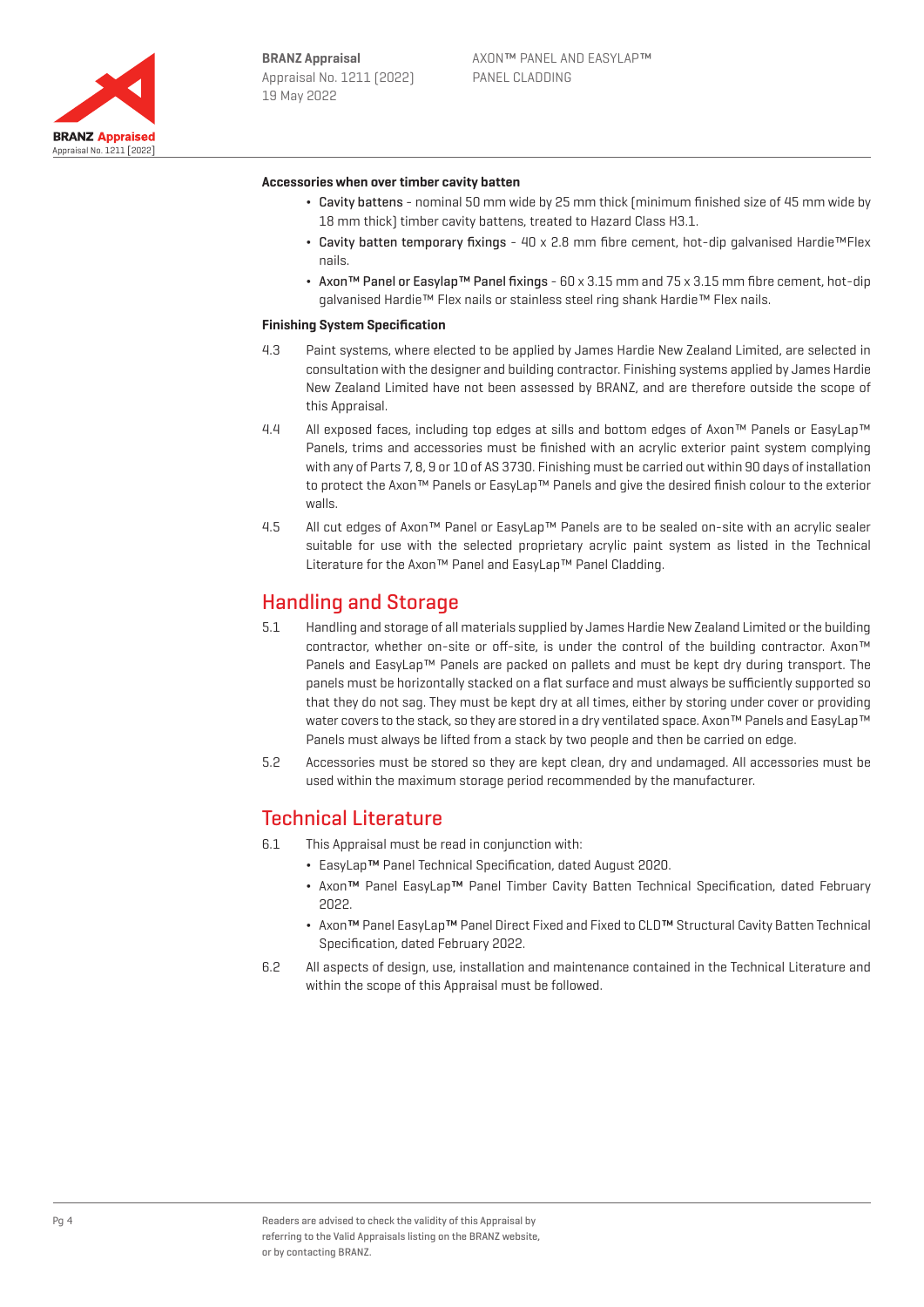

#### **Accessories when over timber cavity batten**

- ¬ Cavity battens nominal 50 mm wide by 25 mm thick (minimum finished size of 45 mm wide by 18 mm thick) timber cavity battens, treated to Hazard Class H3.1.
- ¬ Cavity batten temporary fixings 40 x 2.8 mm fibre cement, hot-dip galvanised Hardie™Flex nails.
- ¬ Axon™ Panel or Easylap™ Panel fixings 60 x 3.15 mm and 75 x 3.15 mm fibre cement, hot-dip galvanised Hardie™ Flex nails or stainless steel ring shank Hardie™ Flex nails.

#### **Finishing System Specification**

- 4.3 Paint systems, where elected to be applied by James Hardie New Zealand Limited, are selected in consultation with the designer and building contractor. Finishing systems applied by James Hardie New Zealand Limited have not been assessed by BRANZ, and are therefore outside the scope of this Appraisal.
- 4.4 All exposed faces, including top edges at sills and bottom edges of Axon™ Panels or EasyLap™ Panels, trims and accessories must be finished with an acrylic exterior paint system complying with any of Parts 7, 8, 9 or 10 of AS 3730. Finishing must be carried out within 90 days of installation to protect the Axon™ Panels or EasyLap™ Panels and give the desired finish colour to the exterior walls.
- 4.5 All cut edges of Axon™ Panel or EasyLap™ Panels are to be sealed on-site with an acrylic sealer suitable for use with the selected proprietary acrylic paint system as listed in the Technical Literature for the Axon™ Panel and EasyLap™ Panel Cladding.

## Handling and Storage

- 5.1 Handling and storage of all materials supplied by James Hardie New Zealand Limited or the building contractor, whether on-site or off-site, is under the control of the building contractor. Axon™ Panels and EasyLap™ Panels are packed on pallets and must be kept dry during transport. The panels must be horizontally stacked on a flat surface and must always be sufficiently supported so that they do not sag. They must be kept dry at all times, either by storing under cover or providing water covers to the stack, so they are stored in a dry ventilated space. Axon™ Panels and EasyLap™ Panels must always be lifted from a stack by two people and then be carried on edge.
- 5.2 Accessories must be stored so they are kept clean, dry and undamaged. All accessories must be used within the maximum storage period recommended by the manufacturer.

## Technical Literature

- 6.1 This Appraisal must be read in conjunction with:
	- ¬ EasyLap™ Panel Technical Specification, dated August 2020.
	- ¬ Axon™ Panel EasyLap™ Panel Timber Cavity Batten Technical Specification, dated February 2022.
	- ¬ Axon™ Panel EasyLap™ Panel Direct Fixed and Fixed to CLD™ Structural Cavity Batten Technical Specification, dated February 2022.
- 6.2 All aspects of design, use, installation and maintenance contained in the Technical Literature and within the scope of this Appraisal must be followed.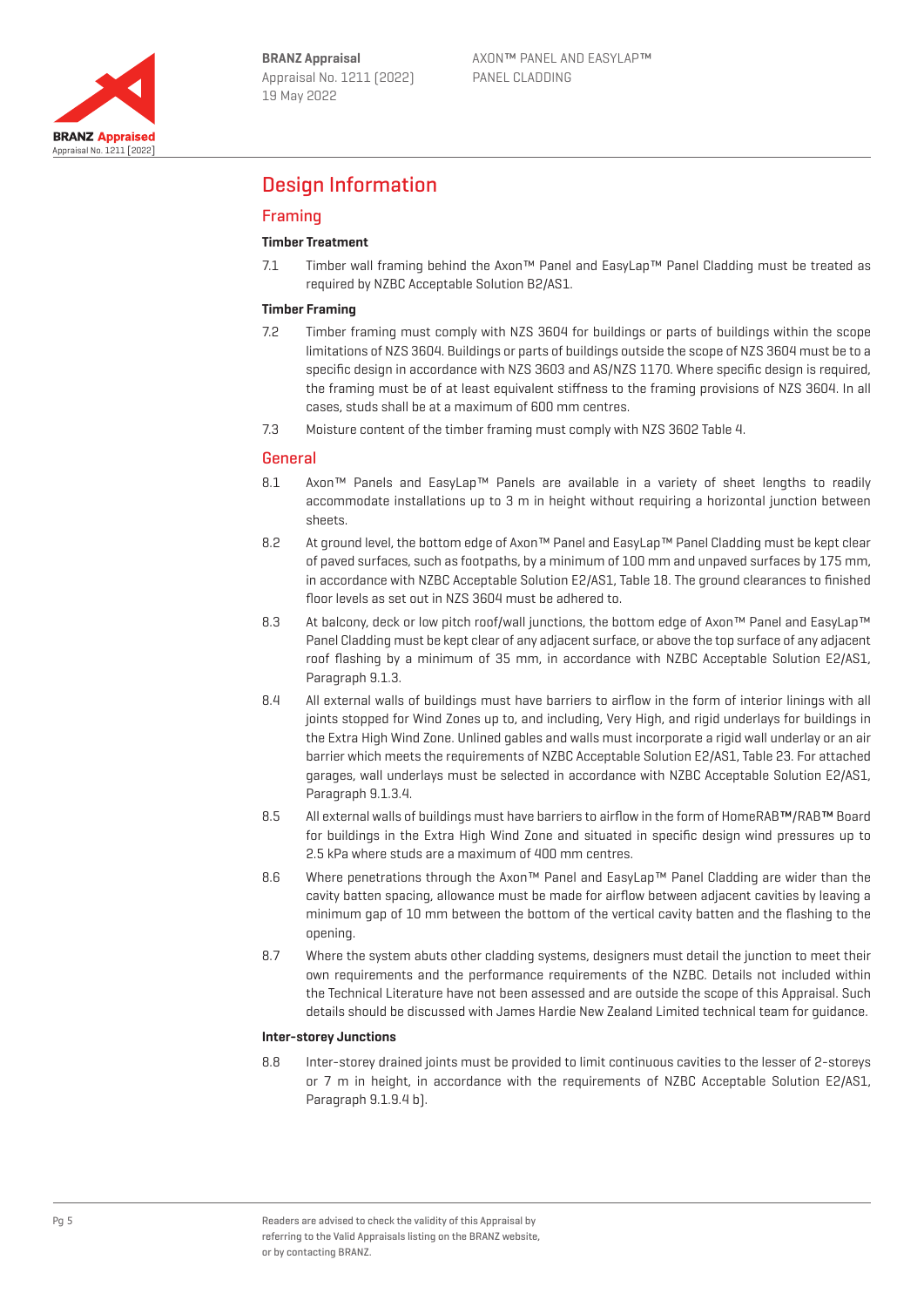

# Design Information

## Framing

## **Timber Treatment**

7.1 Timber wall framing behind the Axon™ Panel and EasyLap™ Panel Cladding must be treated as required by NZBC Acceptable Solution B2/AS1.

#### **Timber Framing**

- 7.2 Timber framing must comply with NZS 3604 for buildings or parts of buildings within the scope limitations of NZS 3604. Buildings or parts of buildings outside the scope of NZS 3604 must be to a specific design in accordance with NZS 3603 and AS/NZS 1170. Where specific design is required, the framing must be of at least equivalent stiffness to the framing provisions of NZS 3604. In all cases, studs shall be at a maximum of 600 mm centres.
- 7.3 Moisture content of the timber framing must comply with NZS 3602 Table 4.

### General

- 8.1 Axon™ Panels and EasyLap™ Panels are available in a variety of sheet lengths to readily accommodate installations up to 3 m in height without requiring a horizontal junction between sheets.
- 8.2 At ground level, the bottom edge of Axon™ Panel and EasyLap™ Panel Cladding must be kept clear of paved surfaces, such as footpaths, by a minimum of 100 mm and unpaved surfaces by 175 mm, in accordance with NZBC Acceptable Solution E2/AS1, Table 18. The ground clearances to finished floor levels as set out in NZS 3604 must be adhered to.
- 8.3 At balcony, deck or low pitch roof/wall junctions, the bottom edge of Axon™ Panel and EasyLap™ Panel Cladding must be kept clear of any adjacent surface, or above the top surface of any adjacent roof flashing by a minimum of 35 mm, in accordance with NZBC Acceptable Solution E2/AS1, Paragraph 9.1.3.
- 8.4 All external walls of buildings must have barriers to airflow in the form of interior linings with all joints stopped for Wind Zones up to, and including, Very High, and rigid underlays for buildings in the Extra High Wind Zone. Unlined gables and walls must incorporate a rigid wall underlay or an air barrier which meets the requirements of NZBC Acceptable Solution E2/AS1, Table 23. For attached garages, wall underlays must be selected in accordance with NZBC Acceptable Solution E2/AS1, Paragraph 9.1.3.4.
- 8.5 All external walls of buildings must have barriers to airflow in the form of HomeRAB™/RAB™ Board for buildings in the Extra High Wind Zone and situated in specific design wind pressures up to 2.5 kPa where studs are a maximum of 400 mm centres.
- 8.6 Where penetrations through the Axon™ Panel and EasyLap™ Panel Cladding are wider than the cavity batten spacing, allowance must be made for airflow between adjacent cavities by leaving a minimum gap of 10 mm between the bottom of the vertical cavity batten and the flashing to the opening.
- 8.7 Where the system abuts other cladding systems, designers must detail the junction to meet their own requirements and the performance requirements of the NZBC. Details not included within the Technical Literature have not been assessed and are outside the scope of this Appraisal. Such details should be discussed with James Hardie New Zealand Limited technical team for guidance.

#### **Inter-storey Junctions**

8.8 Inter-storey drained joints must be provided to limit continuous cavities to the lesser of 2-storeys or 7 m in height, in accordance with the requirements of NZBC Acceptable Solution E2/AS1, Paragraph 9.1.9.4 b).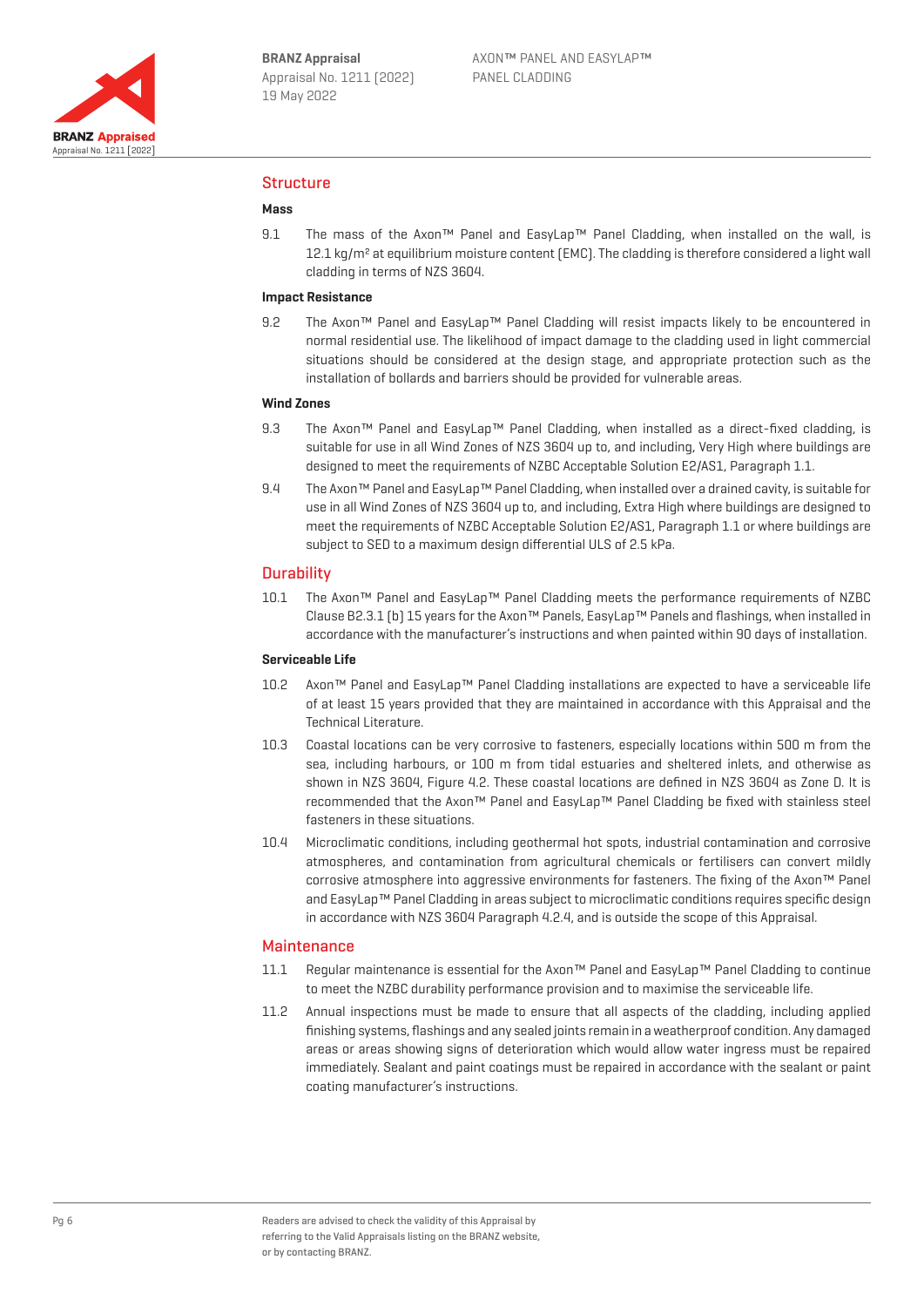

## Structure

#### **Mass**

9.1 The mass of the Axon™ Panel and EasyLap™ Panel Cladding, when installed on the wall, is 12.1 kg/m<sup>2</sup> at equilibrium moisture content (EMC). The cladding is therefore considered a light wall cladding in terms of NZS 3604.

## **Impact Resistance**

9.2 The Axon™ Panel and EasyLap™ Panel Cladding will resist impacts likely to be encountered in normal residential use. The likelihood of impact damage to the cladding used in light commercial situations should be considered at the design stage, and appropriate protection such as the installation of bollards and barriers should be provided for vulnerable areas.

#### **Wind Zones**

- 9.3 The Axon™ Panel and EasyLap™ Panel Cladding, when installed as a direct-fixed cladding, is suitable for use in all Wind Zones of NZS 3604 up to, and including, Very High where buildings are designed to meet the requirements of NZBC Acceptable Solution E2/AS1, Paragraph 1.1.
- 9.4 The Axon™ Panel and EasyLap™ Panel Cladding, when installed over a drained cavity, is suitable for use in all Wind Zones of NZS 3604 up to, and including, Extra High where buildings are designed to meet the requirements of NZBC Acceptable Solution E2/AS1, Paragraph 1.1 or where buildings are subject to SED to a maximum design differential ULS of 2.5 kPa.

#### **Durability**

10.1 The Axon™ Panel and EasyLap™ Panel Cladding meets the performance requirements of NZBC Clause B2.3.1 (b) 15 years for the Axon™ Panels, EasyLap™ Panels and flashings, when installed in accordance with the manufacturer's instructions and when painted within 90 days of installation.

#### **Serviceable Life**

- 10.2 Axon™ Panel and EasyLap™ Panel Cladding installations are expected to have a serviceable life of at least 15 years provided that they are maintained in accordance with this Appraisal and the Technical Literature.
- 10.3 Coastal locations can be very corrosive to fasteners, especially locations within 500 m from the sea, including harbours, or 100 m from tidal estuaries and sheltered inlets, and otherwise as shown in NZS 3604, Figure 4.2. These coastal locations are defined in NZS 3604 as Zone D. It is recommended that the Axon™ Panel and EasyLap™ Panel Cladding be fixed with stainless steel fasteners in these situations.
- 10.4 Microclimatic conditions, including geothermal hot spots, industrial contamination and corrosive atmospheres, and contamination from agricultural chemicals or fertilisers can convert mildly corrosive atmosphere into aggressive environments for fasteners. The fixing of the Axon™ Panel and EasyLap™ Panel Cladding in areas subject to microclimatic conditions requires specific design in accordance with NZS 3604 Paragraph 4.2.4, and is outside the scope of this Appraisal.

#### **Maintenance**

- 11.1 Regular maintenance is essential for the Axon™ Panel and EasyLap™ Panel Cladding to continue to meet the NZBC durability performance provision and to maximise the serviceable life.
- 11.2 Annual inspections must be made to ensure that all aspects of the cladding, including applied finishing systems, flashings and any sealed joints remain in a weatherproof condition. Any damaged areas or areas showing signs of deterioration which would allow water ingress must be repaired immediately. Sealant and paint coatings must be repaired in accordance with the sealant or paint coating manufacturer's instructions.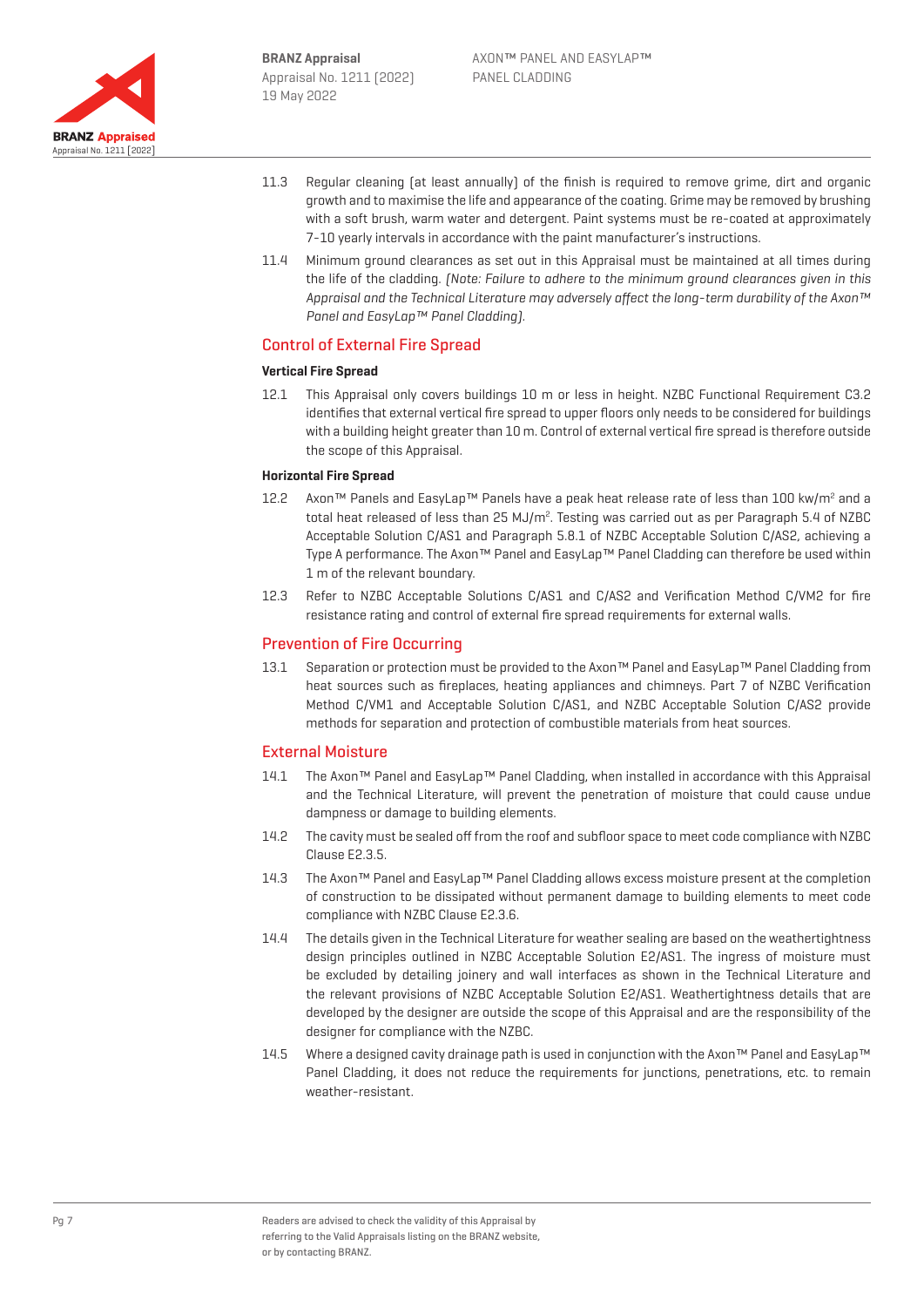

- 11.3 Regular cleaning (at least annually) of the finish is required to remove grime, dirt and organic growth and to maximise the life and appearance of the coating. Grime may be removed by brushing with a soft brush, warm water and detergent. Paint systems must be re-coated at approximately 7-10 yearly intervals in accordance with the paint manufacturer's instructions.
- 11.4 Minimum ground clearances as set out in this Appraisal must be maintained at all times during the life of the cladding. (Note: Failure to adhere to the minimum ground clearances given in this Appraisal and the Technical Literature may adversely affect the long-term durability of the Axon™ Panel and EasyLap™ Panel Cladding).

## Control of External Fire Spread

#### **Vertical Fire Spread**

12.1 This Appraisal only covers buildings 10 m or less in height. NZBC Functional Requirement C3.2 identifies that external vertical fire spread to upper floors only needs to be considered for buildings with a building height greater than 10 m. Control of external vertical fire spread is therefore outside the scope of this Appraisal.

#### **Horizontal Fire Spread**

- 12.2 Axon™ Panels and EasyLap™ Panels have a peak heat release rate of less than 100 kw/m<sup>2</sup> and a total heat released of less than 25 MJ/m<sup>2</sup>. Testing was carried out as per Paragraph 5.4 of NZBC Acceptable Solution C/AS1 and Paragraph 5.8.1 of NZBC Acceptable Solution C/AS2, achieving a Type A performance. The Axon™ Panel and EasyLap™ Panel Cladding can therefore be used within 1 m of the relevant boundary.
- 12.3 Refer to NZBC Acceptable Solutions C/AS1 and C/AS2 and Verification Method C/VM2 for fire resistance rating and control of external fire spread requirements for external walls.

## Prevention of Fire Occurring

13.1 Separation or protection must be provided to the Axon™ Panel and EasyLap™ Panel Cladding from heat sources such as fireplaces, heating appliances and chimneys. Part 7 of NZBC Verification Method C/VM1 and Acceptable Solution C/AS1, and NZBC Acceptable Solution C/AS2 provide methods for separation and protection of combustible materials from heat sources.

### External Moisture

- 14.1 The Axon™ Panel and EasyLap™ Panel Cladding, when installed in accordance with this Appraisal and the Technical Literature, will prevent the penetration of moisture that could cause undue dampness or damage to building elements.
- 14.2 The cavity must be sealed off from the roof and subfloor space to meet code compliance with NZBC Clause E2.3.5.
- 14.3 The Axon™ Panel and EasyLap™ Panel Cladding allows excess moisture present at the completion of construction to be dissipated without permanent damage to building elements to meet code compliance with NZBC Clause E2.3.6.
- 14.4 The details given in the Technical Literature for weather sealing are based on the weathertightness design principles outlined in NZBC Acceptable Solution E2/AS1. The ingress of moisture must be excluded by detailing joinery and wall interfaces as shown in the Technical Literature and the relevant provisions of NZBC Acceptable Solution E2/AS1. Weathertightness details that are developed by the designer are outside the scope of this Appraisal and are the responsibility of the designer for compliance with the NZBC.
- 14.5 Where a designed cavity drainage path is used in conjunction with the Axon™ Panel and EasyLap™ Panel Cladding, it does not reduce the requirements for junctions, penetrations, etc. to remain weather-resistant.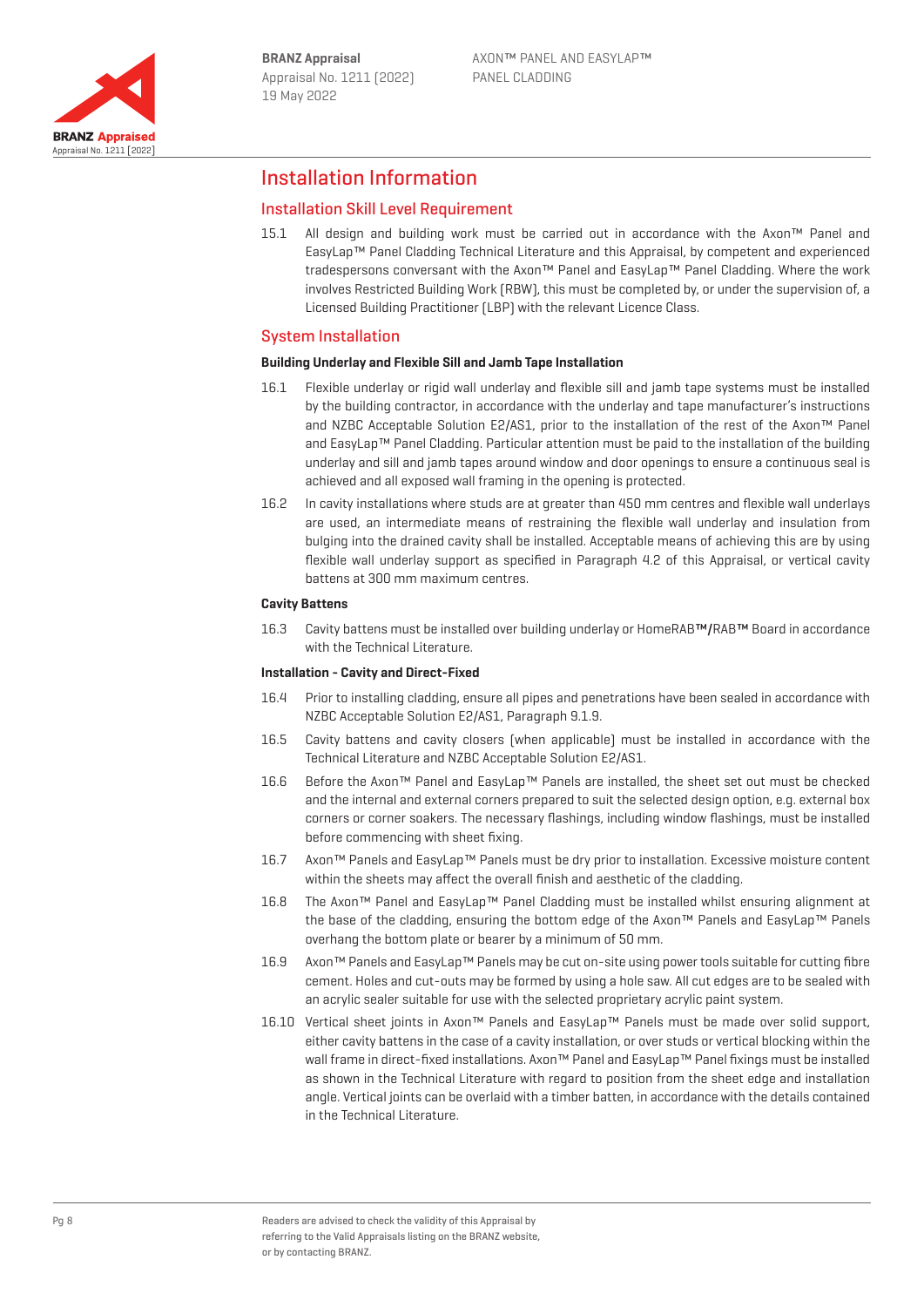

## Installation Information

## Installation Skill Level Requirement

15.1 All design and building work must be carried out in accordance with the Axon™ Panel and EasyLap™ Panel Cladding Technical Literature and this Appraisal, by competent and experienced tradespersons conversant with the Axon™ Panel and EasyLap™ Panel Cladding. Where the work involves Restricted Building Work (RBW), this must be completed by, or under the supervision of, a Licensed Building Practitioner (LBP) with the relevant Licence Class.

## System Installation

#### **Building Underlay and Flexible Sill and Jamb Tape Installation**

- 16.1 Flexible underlay or rigid wall underlay and flexible sill and jamb tape systems must be installed by the building contractor, in accordance with the underlay and tape manufacturer's instructions and NZBC Acceptable Solution E2/AS1, prior to the installation of the rest of the Axon™ Panel and EasyLap™ Panel Cladding. Particular attention must be paid to the installation of the building underlay and sill and jamb tapes around window and door openings to ensure a continuous seal is achieved and all exposed wall framing in the opening is protected.
- 16.2 In cavity installations where studs are at greater than 450 mm centres and flexible wall underlays are used, an intermediate means of restraining the flexible wall underlay and insulation from bulging into the drained cavity shall be installed. Acceptable means of achieving this are by using flexible wall underlay support as specified in Paragraph 4.2 of this Appraisal, or vertical cavity battens at 300 mm maximum centres.

#### **Cavity Battens**

16.3 Cavity battens must be installed over building underlay or HomeRAB™/RAB™ Board in accordance with the Technical Literature.

#### **Installation - Cavity and Direct-Fixed**

- 16.4 Prior to installing cladding, ensure all pipes and penetrations have been sealed in accordance with NZBC Acceptable Solution E2/AS1, Paragraph 9.1.9.
- 16.5 Cavity battens and cavity closers (when applicable) must be installed in accordance with the Technical Literature and NZBC Acceptable Solution E2/AS1.
- 16.6 Before the Axon™ Panel and EasyLap™ Panels are installed, the sheet set out must be checked and the internal and external corners prepared to suit the selected design option, e.g. external box corners or corner soakers. The necessary flashings, including window flashings, must be installed before commencing with sheet fixing.
- 16.7 Axon™ Panels and EasyLap™ Panels must be dry prior to installation. Excessive moisture content within the sheets may affect the overall finish and aesthetic of the cladding.
- 16.8 The Axon™ Panel and EasyLap™ Panel Cladding must be installed whilst ensuring alignment at the base of the cladding, ensuring the bottom edge of the Axon™ Panels and EasyLap™ Panels overhang the bottom plate or bearer by a minimum of 50 mm.
- 16.9 Axon™ Panels and EasyLap™ Panels may be cut on-site using power tools suitable for cutting fibre cement. Holes and cut-outs may be formed by using a hole saw. All cut edges are to be sealed with an acrylic sealer suitable for use with the selected proprietary acrylic paint system.
- 16.10 Vertical sheet joints in Axon™ Panels and EasyLap™ Panels must be made over solid support, either cavity battens in the case of a cavity installation, or over studs or vertical blocking within the wall frame in direct-fixed installations. Axon™ Panel and EasyLap™ Panel fixings must be installed as shown in the Technical Literature with regard to position from the sheet edge and installation angle. Vertical joints can be overlaid with a timber batten, in accordance with the details contained in the Technical Literature.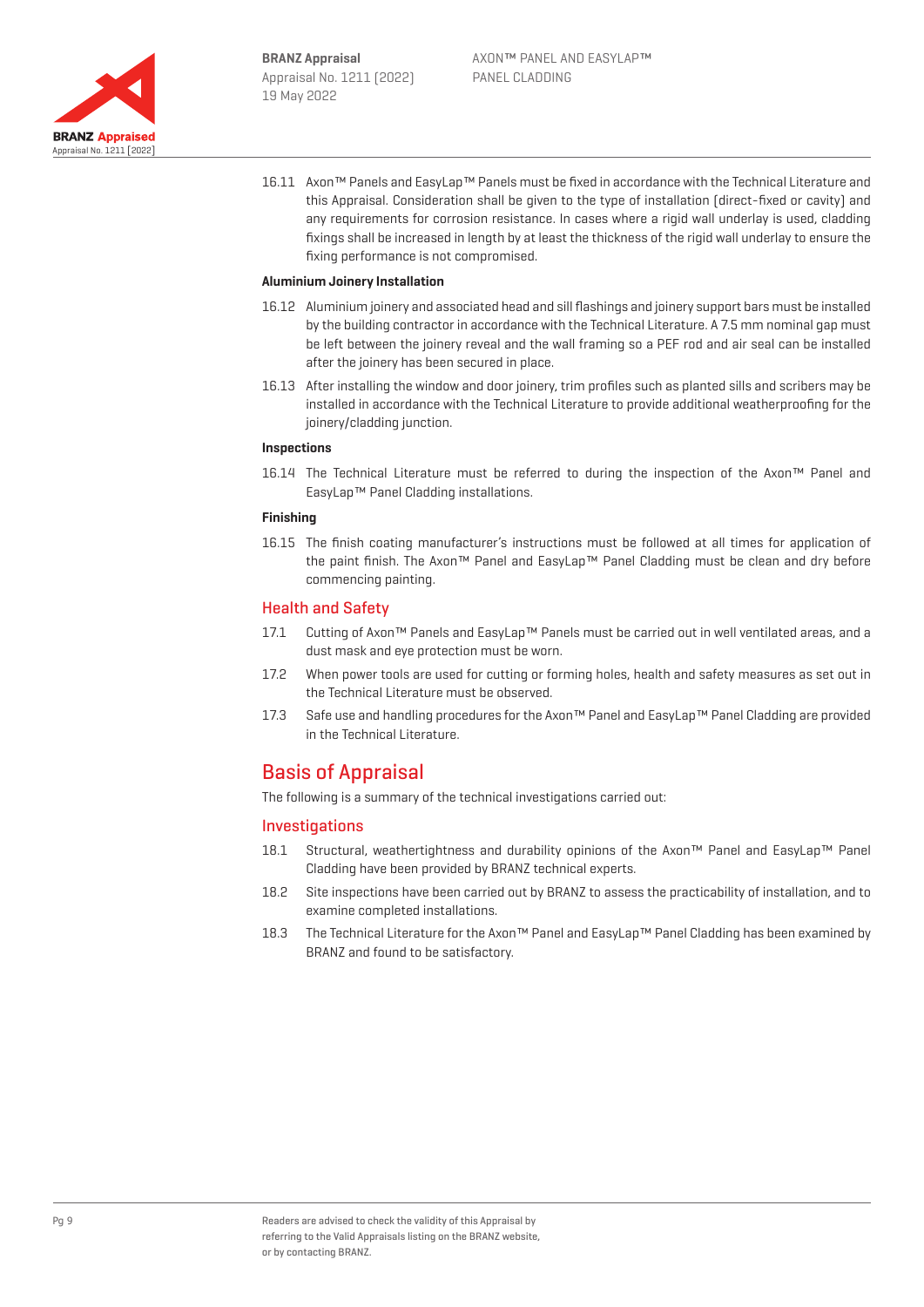

16.11 Axon™ Panels and EasyLap™ Panels must be fixed in accordance with the Technical Literature and this Appraisal. Consideration shall be given to the type of installation (direct-fixed or cavity) and any requirements for corrosion resistance. In cases where a rigid wall underlay is used, cladding fixings shall be increased in length by at least the thickness of the rigid wall underlay to ensure the fixing performance is not compromised.

#### **Aluminium Joinery Installation**

- 16.12 Aluminium joinery and associated head and sill flashings and joinery support bars must be installed by the building contractor in accordance with the Technical Literature. A 7.5 mm nominal gap must be left between the joinery reveal and the wall framing so a PEF rod and air seal can be installed after the joinery has been secured in place.
- 16.13 After installing the window and door joinery, trim profiles such as planted sills and scribers may be installed in accordance with the Technical Literature to provide additional weatherproofing for the joinery/cladding junction.

#### **Inspections**

16.14 The Technical Literature must be referred to during the inspection of the Axon™ Panel and EasyLap™ Panel Cladding installations.

#### **Finishing**

16.15 The finish coating manufacturer's instructions must be followed at all times for application of the paint finish. The Axon™ Panel and EasyLap™ Panel Cladding must be clean and dry before commencing painting.

### Health and Safety

- 17.1 Cutting of Axon™ Panels and EasyLap™ Panels must be carried out in well ventilated areas, and a dust mask and eye protection must be worn.
- 17.2 When power tools are used for cutting or forming holes, health and safety measures as set out in the Technical Literature must be observed.
- 17.3 Safe use and handling procedures for the Axon™ Panel and EasyLap™ Panel Cladding are provided in the Technical Literature.

# Basis of Appraisal

The following is a summary of the technical investigations carried out:

### Investigations

- 18.1 Structural, weathertightness and durability opinions of the Axon™ Panel and EasyLap™ Panel Cladding have been provided by BRANZ technical experts.
- 18.2 Site inspections have been carried out by BRANZ to assess the practicability of installation, and to examine completed installations.
- 18.3 The Technical Literature for the Axon™ Panel and EasyLap™ Panel Cladding has been examined by BRANZ and found to be satisfactory.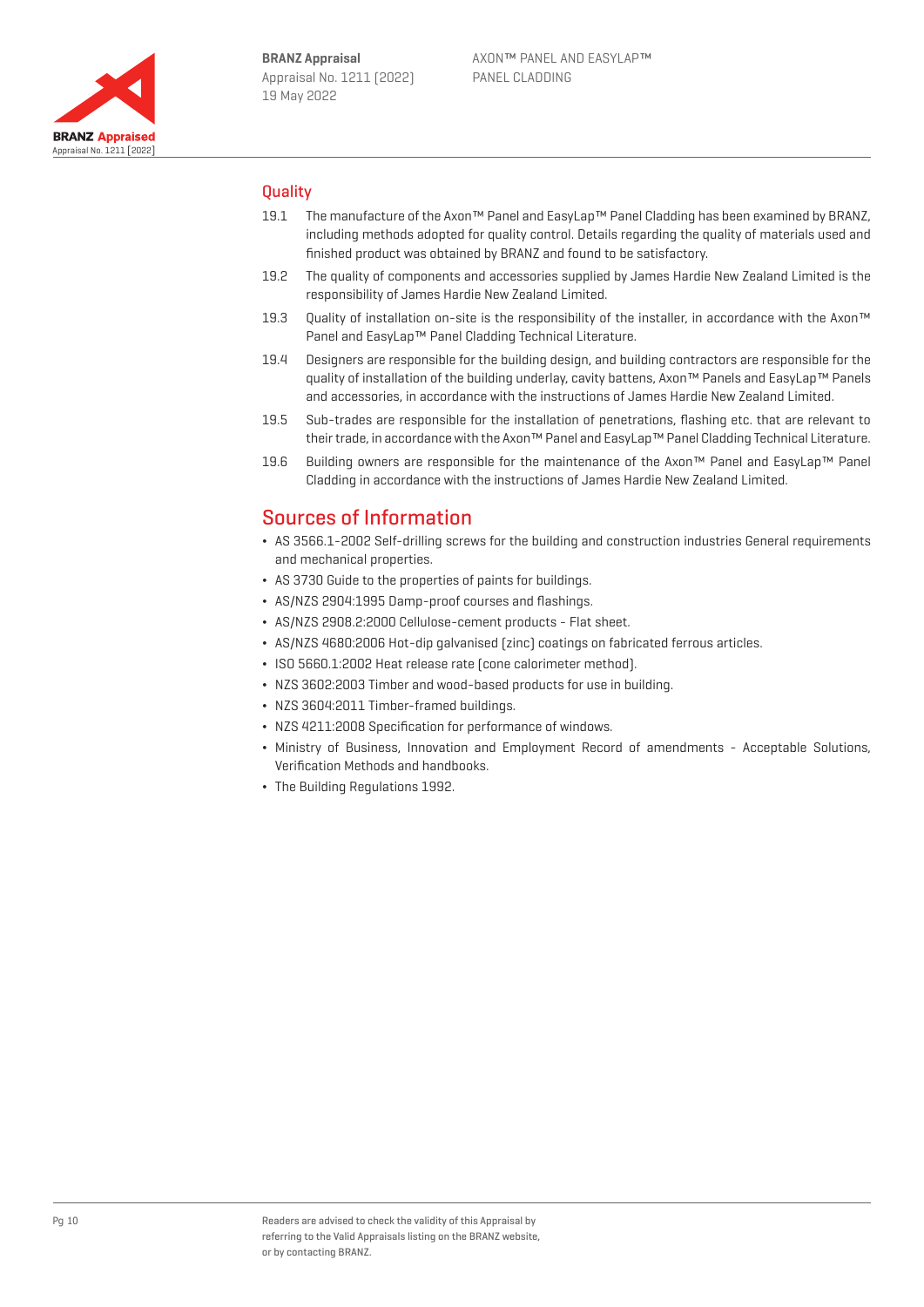

## **Quality**

- 19.1 The manufacture of the Axon™ Panel and EasyLap™ Panel Cladding has been examined by BRANZ, including methods adopted for quality control. Details regarding the quality of materials used and finished product was obtained by BRANZ and found to be satisfactory.
- 19.2 The quality of components and accessories supplied by James Hardie New Zealand Limited is the responsibility of James Hardie New Zealand Limited.
- 19.3 Ouality of installation on-site is the responsibility of the installer, in accordance with the Axon™ Panel and EasyLap™ Panel Cladding Technical Literature.
- 19.4 Designers are responsible for the building design, and building contractors are responsible for the quality of installation of the building underlay, cavity battens, Axon™ Panels and EasyLap™ Panels and accessories, in accordance with the instructions of James Hardie New Zealand Limited.
- 19.5 Sub-trades are responsible for the installation of penetrations, flashing etc. that are relevant to their trade, in accordance with the Axon™ Panel and EasyLap™ Panel Cladding Technical Literature.
- 19.6 Building owners are responsible for the maintenance of the Axon™ Panel and EasyLap™ Panel Cladding in accordance with the instructions of James Hardie New Zealand Limited.

## Sources of Information

- ¬ AS 3566.1-2002 Self-drilling screws for the building and construction industries General requirements and mechanical properties.
- ¬ AS 3730 Guide to the properties of paints for buildings.
- ¬ AS/NZS 2904:1995 Damp-proof courses and flashings.
- ¬ AS/NZS 2908.2:2000 Cellulose-cement products Flat sheet.
- ¬ AS/NZS 4680:2006 Hot-dip galvanised (zinc) coatings on fabricated ferrous articles.
- ¬ ISO 5660.1:2002 Heat release rate (cone calorimeter method).
- ¬ NZS 3602:2003 Timber and wood-based products for use in building.
- ¬ NZS 3604:2011 Timber-framed buildings.
- ¬ NZS 4211:2008 Specification for performance of windows.
- ¬ Ministry of Business, Innovation and Employment Record of amendments Acceptable Solutions, Verification Methods and handbooks.
- ¬ The Building Regulations 1992.